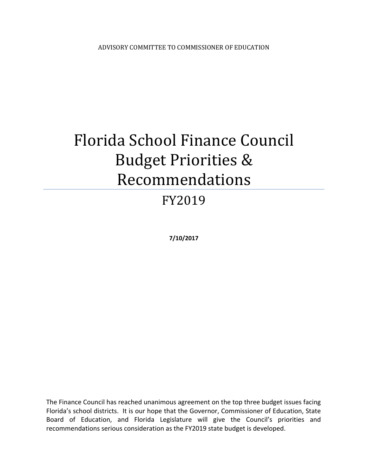# Florida School Finance Council Budget Priorities & Recommendations

## FY2019

**7/10/2017**

The Finance Council has reached unanimous agreement on the top three budget issues facing Florida's school districts. It is our hope that the Governor, Commissioner of Education, State Board of Education, and Florida Legislature will give the Council's priorities and recommendations serious consideration as the FY2019 state budget is developed.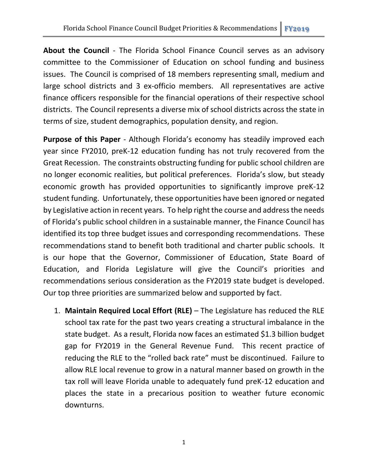**About the Council** - The Florida School Finance Council serves as an advisory committee to the Commissioner of Education on school funding and business issues. The Council is comprised of 18 members representing small, medium and large school districts and 3 ex-officio members. All representatives are active finance officers responsible for the financial operations of their respective school districts. The Council represents a diverse mix of school districts across the state in terms of size, student demographics, population density, and region.

**Purpose of this Paper** - Although Florida's economy has steadily improved each year since FY2010, preK-12 education funding has not truly recovered from the Great Recession. The constraints obstructing funding for public school children are no longer economic realities, but political preferences. Florida's slow, but steady economic growth has provided opportunities to significantly improve preK-12 student funding. Unfortunately, these opportunities have been ignored or negated by Legislative action in recent years. To help right the course and address the needs of Florida's public school children in a sustainable manner, the Finance Council has identified its top three budget issues and corresponding recommendations. These recommendations stand to benefit both traditional and charter public schools. It is our hope that the Governor, Commissioner of Education, State Board of Education, and Florida Legislature will give the Council's priorities and recommendations serious consideration as the FY2019 state budget is developed. Our top three priorities are summarized below and supported by fact.

1. **Maintain Required Local Effort (RLE)** – The Legislature has reduced the RLE school tax rate for the past two years creating a structural imbalance in the state budget. As a result, Florida now faces an estimated \$1.3 billion budget gap for FY2019 in the General Revenue Fund. This recent practice of reducing the RLE to the "rolled back rate" must be discontinued. Failure to allow RLE local revenue to grow in a natural manner based on growth in the tax roll will leave Florida unable to adequately fund preK-12 education and places the state in a precarious position to weather future economic downturns.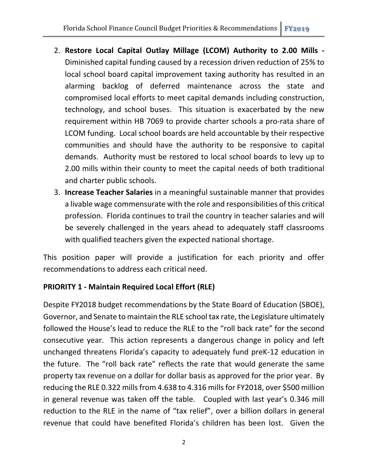- 2. **Restore Local Capital Outlay Millage (LCOM) Authority to 2.00 Mills -** Diminished capital funding caused by a recession driven reduction of 25% to local school board capital improvement taxing authority has resulted in an alarming backlog of deferred maintenance across the state and compromised local efforts to meet capital demands including construction, technology, and school buses. This situation is exacerbated by the new requirement within HB 7069 to provide charter schools a pro-rata share of LCOM funding. Local school boards are held accountable by their respective communities and should have the authority to be responsive to capital demands. Authority must be restored to local school boards to levy up to 2.00 mills within their county to meet the capital needs of both traditional and charter public schools.
- 3. **Increase Teacher Salaries** in a meaningful sustainable manner that provides a livable wage commensurate with the role and responsibilities of this critical profession. Florida continues to trail the country in teacher salaries and will be severely challenged in the years ahead to adequately staff classrooms with qualified teachers given the expected national shortage.

This position paper will provide a justification for each priority and offer recommendations to address each critical need.

#### **PRIORITY 1 - Maintain Required Local Effort (RLE)**

Despite FY2018 budget recommendations by the State Board of Education (SBOE), Governor, and Senate to maintain the RLE school tax rate, the Legislature ultimately followed the House's lead to reduce the RLE to the "roll back rate" for the second consecutive year. This action represents a dangerous change in policy and left unchanged threatens Florida's capacity to adequately fund preK-12 education in the future. The "roll back rate" reflects the rate that would generate the same property tax revenue on a dollar for dollar basis as approved for the prior year. By reducing the RLE 0.322 mills from 4.638 to 4.316 mills for FY2018, over \$500 million in general revenue was taken off the table. Coupled with last year's 0.346 mill reduction to the RLE in the name of "tax relief", over a billion dollars in general revenue that could have benefited Florida's children has been lost. Given the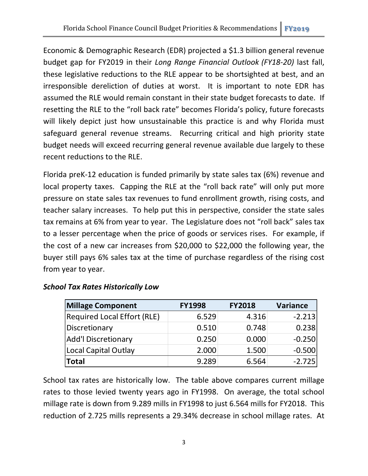Economic & Demographic Research (EDR) projected a \$1.3 billion general revenue budget gap for FY2019 in their *Long Range Financial Outlook (FY18-20)* last fall, these legislative reductions to the RLE appear to be shortsighted at best, and an irresponsible dereliction of duties at worst. It is important to note EDR has assumed the RLE would remain constant in their state budget forecasts to date. If resetting the RLE to the "roll back rate" becomes Florida's policy, future forecasts will likely depict just how unsustainable this practice is and why Florida must safeguard general revenue streams. Recurring critical and high priority state budget needs will exceed recurring general revenue available due largely to these recent reductions to the RLE.

Florida preK-12 education is funded primarily by state sales tax (6%) revenue and local property taxes. Capping the RLE at the "roll back rate" will only put more pressure on state sales tax revenues to fund enrollment growth, rising costs, and teacher salary increases. To help put this in perspective, consider the state sales tax remains at 6% from year to year. The Legislature does not "roll back" sales tax to a lesser percentage when the price of goods or services rises. For example, if the cost of a new car increases from \$20,000 to \$22,000 the following year, the buyer still pays 6% sales tax at the time of purchase regardless of the rising cost from year to year.

| <b>Millage Component</b>           | <b>FY1998</b> | <b>FY2018</b> | <b>Variance</b> |  |
|------------------------------------|---------------|---------------|-----------------|--|
| <b>Required Local Effort (RLE)</b> | 6.529         | 4.316         | $-2.213$        |  |
| Discretionary                      | 0.510         | 0.748         | 0.238           |  |
| <b>Add'l Discretionary</b>         | 0.250         | 0.000         | $-0.250$        |  |
| Local Capital Outlay               | 2.000         | 1.500         | $-0.500$        |  |
| <b>Total</b>                       | 9.289         | 6.564         | $-2.725$        |  |

#### *School Tax Rates Historically Low*

School tax rates are historically low. The table above compares current millage rates to those levied twenty years ago in FY1998. On average, the total school millage rate is down from 9.289 mills in FY1998 to just 6.564 mills for FY2018. This reduction of 2.725 mills represents a 29.34% decrease in school millage rates. At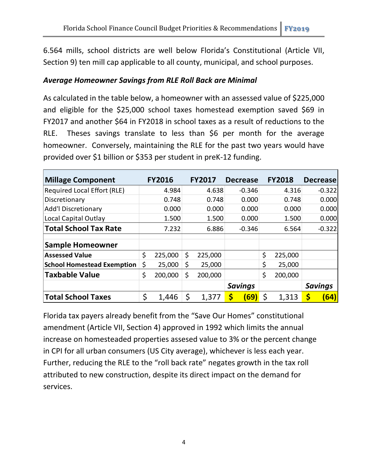6.564 mills, school districts are well below Florida's Constitutional (Article VII, Section 9) ten mill cap applicable to all county, municipal, and school purposes.

#### *Average Homeowner Savings from RLE Roll Back are Minimal*

As calculated in the table below, a homeowner with an assessed value of \$225,000 and eligible for the \$25,000 school taxes homestead exemption saved \$69 in FY2017 and another \$64 in FY2018 in school taxes as a result of reductions to the RLE. Theses savings translate to less than \$6 per month for the average homeowner. Conversely, maintaining the RLE for the past two years would have provided over \$1 billion or \$353 per student in preK-12 funding.

| <b>Millage Component</b>           | <b>FY2016</b> | <b>FY2017</b> | <b>Decrease</b> | <b>FY2018</b> | <b>Decrease</b> |
|------------------------------------|---------------|---------------|-----------------|---------------|-----------------|
| <b>Required Local Effort (RLE)</b> | 4.984         | 4.638         | $-0.346$        | 4.316         | $-0.322$        |
| Discretionary                      | 0.748         | 0.748         | 0.000           | 0.748         | 0.000           |
| <b>Add'l Discretionary</b>         | 0.000         | 0.000         | 0.000           | 0.000         | 0.000           |
| Local Capital Outlay               | 1.500         | 1.500         | 0.000           | 1.500         | 0.000           |
| <b>Total School Tax Rate</b>       | 7.232         | 6.886         | $-0.346$        | 6.564         | $-0.322$        |
| <b>Sample Homeowner</b>            |               |               |                 |               |                 |
| <b>Assessed Value</b>              | \$<br>225,000 | \$<br>225,000 |                 | \$<br>225,000 |                 |
| <b>School Homestead Exemption</b>  | \$<br>25,000  | \$<br>25,000  |                 | \$<br>25,000  |                 |
| <b>Taxbable Value</b>              | \$<br>200,000 | \$<br>200,000 |                 | \$<br>200,000 |                 |
|                                    |               |               | <b>Savings</b>  |               | <b>Savings</b>  |
| <b>Total School Taxes</b>          | \$<br>1,446   | \$<br>1,377   | \$<br>(69)      | \$<br>1,313   | \$<br>(64)      |

Florida tax payers already benefit from the "Save Our Homes" constitutional amendment (Article VII, Section 4) approved in 1992 which limits the annual increase on homesteaded properties assesed value to 3% or the percent change in CPI for all urban consumers (US City average), whichever is less each year. Further, reducing the RLE to the "roll back rate" negates growth in the tax roll attributed to new construction, despite its direct impact on the demand for services.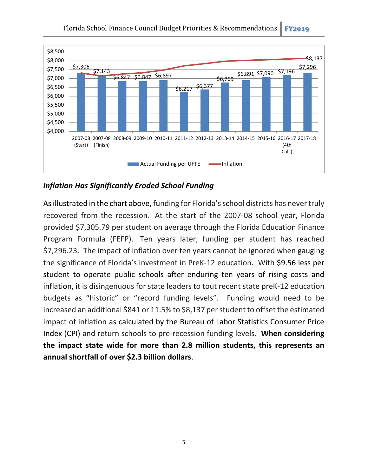

*Inflation Has Significantly Eroded School Funding*

As illustrated in the chart above, funding for Florida's school districts has never truly recovered from the recession. At the start of the 2007-08 school year, Florida provided \$7,305.79 per student on average through the Florida Education Finance Program Formula (FEFP). Ten years later, funding per student has reached \$7,296.23. The impact of inflation over ten years cannot be ignored when gauging the significance of Florida's investment in PreK-12 education. With \$9.56 less per student to operate public schools after enduring ten years of rising costs and inflation, it is disingenuous for state leaders to tout recent state preK-12 education budgets as "historic" or "record funding levels". Funding would need to be increased an additional \$841 or 11.5% to \$8,137 per student to offset the estimated impact of inflation as calculated by the Bureau of Labor Statistics Consumer Price Index (CPI) and return schools to pre-recession funding levels. **When considering the impact state wide for more than 2.8 million students, this represents an annual shortfall of over \$2.3 billion dollars**.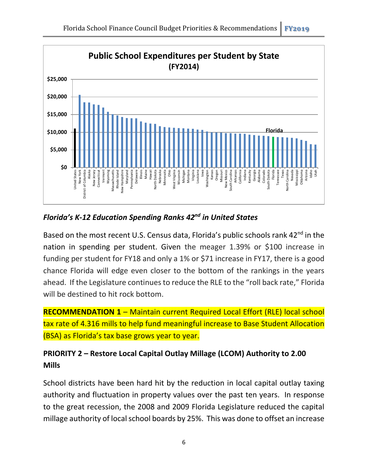

#### *Florida's K-12 Education Spending Ranks 42nd in United States*

Based on the most recent U.S. Census data, Florida's public schools rank 42<sup>nd</sup> in the nation in spending per student. Given the meager 1.39% or \$100 increase in funding per student for FY18 and only a 1% or \$71 increase in FY17, there is a good chance Florida will edge even closer to the bottom of the rankings in the years ahead. If the Legislature continues to reduce the RLE to the "roll back rate," Florida will be destined to hit rock bottom.

**RECOMMENDATION 1 – Maintain current Required Local Effort (RLE) local school** tax rate of 4.316 mills to help fund meaningful increase to Base Student Allocation (BSA) as Florida's tax base grows year to year.

### **PRIORITY 2 – Restore Local Capital Outlay Millage (LCOM) Authority to 2.00 Mills**

School districts have been hard hit by the reduction in local capital outlay taxing authority and fluctuation in property values over the past ten years. In response to the great recession, the 2008 and 2009 Florida Legislature reduced the capital millage authority of local school boards by 25%. This was done to offset an increase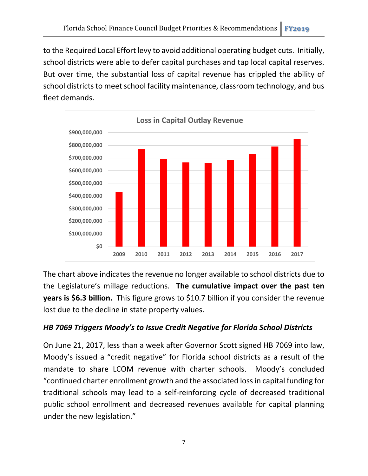to the Required Local Effort levy to avoid additional operating budget cuts. Initially, school districts were able to defer capital purchases and tap local capital reserves. But over time, the substantial loss of capital revenue has crippled the ability of school districts to meet school facility maintenance, classroom technology, and bus fleet demands.



The chart above indicates the revenue no longer available to school districts due to the Legislature's millage reductions. **The cumulative impact over the past ten years is \$6.3 billion.** This figure grows to \$10.7 billion if you consider the revenue lost due to the decline in state property values.

#### *HB 7069 Triggers Moody's to Issue Credit Negative for Florida School Districts*

On June 21, 2017, less than a week after Governor Scott signed HB 7069 into law, Moody's issued a "credit negative" for Florida school districts as a result of the mandate to share LCOM revenue with charter schools. Moody's concluded "continued charter enrollment growth and the associated loss in capital funding for traditional schools may lead to a self-reinforcing cycle of decreased traditional public school enrollment and decreased revenues available for capital planning under the new legislation."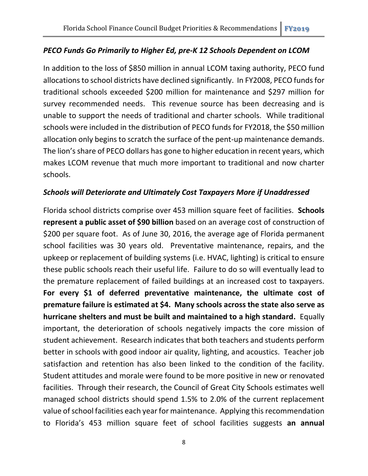#### *PECO Funds Go Primarily to Higher Ed, pre-K 12 Schools Dependent on LCOM*

In addition to the loss of \$850 million in annual LCOM taxing authority, PECO fund allocations to school districts have declined significantly. In FY2008, PECO funds for traditional schools exceeded \$200 million for maintenance and \$297 million for survey recommended needs. This revenue source has been decreasing and is unable to support the needs of traditional and charter schools. While traditional schools were included in the distribution of PECO funds for FY2018, the \$50 million allocation only begins to scratch the surface of the pent-up maintenance demands. The lion's share of PECO dollars has gone to higher education in recent years, which makes LCOM revenue that much more important to traditional and now charter schools.

#### *Schools will Deteriorate and Ultimately Cost Taxpayers More if Unaddressed*

Florida school districts comprise over 453 million square feet of facilities. **Schools represent a public asset of \$90 billion** based on an average cost of construction of \$200 per square foot. As of June 30, 2016, the average age of Florida permanent school facilities was 30 years old. Preventative maintenance, repairs, and the upkeep or replacement of building systems (i.e. HVAC, lighting) is critical to ensure these public schools reach their useful life. Failure to do so will eventually lead to the premature replacement of failed buildings at an increased cost to taxpayers. **For every \$1 of deferred preventative maintenance, the ultimate cost of premature failure is estimated at \$4. Many schools across the state also serve as hurricane shelters and must be built and maintained to a high standard.** Equally important, the deterioration of schools negatively impacts the core mission of student achievement. Research indicates that both teachers and students perform better in schools with good indoor air quality, lighting, and acoustics. Teacher job satisfaction and retention has also been linked to the condition of the facility. Student attitudes and morale were found to be more positive in new or renovated facilities. Through their research, the Council of Great City Schools estimates well managed school districts should spend 1.5% to 2.0% of the current replacement value of school facilities each year for maintenance. Applying thisrecommendation to Florida's 453 million square feet of school facilities suggests **an annual**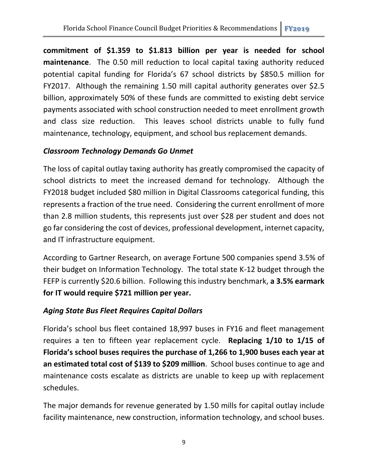**commitment of \$1.359 to \$1.813 billion per year is needed for school maintenance**. The 0.50 mill reduction to local capital taxing authority reduced potential capital funding for Florida's 67 school districts by \$850.5 million for FY2017. Although the remaining 1.50 mill capital authority generates over \$2.5 billion, approximately 50% of these funds are committed to existing debt service payments associated with school construction needed to meet enrollment growth and class size reduction. This leaves school districts unable to fully fund maintenance, technology, equipment, and school bus replacement demands.

#### *Classroom Technology Demands Go Unmet*

The loss of capital outlay taxing authority has greatly compromised the capacity of school districts to meet the increased demand for technology. Although the FY2018 budget included \$80 million in Digital Classrooms categorical funding, this represents a fraction of the true need. Considering the current enrollment of more than 2.8 million students, this represents just over \$28 per student and does not go far considering the cost of devices, professional development, internet capacity, and IT infrastructure equipment.

According to Gartner Research, on average Fortune 500 companies spend 3.5% of their budget on Information Technology. The total state K-12 budget through the FEFP is currently \$20.6 billion. Following this industry benchmark, **a 3.5% earmark for IT would require \$721 million per year.**

#### *Aging State Bus Fleet Requires Capital Dollars*

Florida's school bus fleet contained 18,997 buses in FY16 and fleet management requires a ten to fifteen year replacement cycle. **Replacing 1/10 to 1/15 of Florida's school buses requires the purchase of 1,266 to 1,900 buses each year at an estimated total cost of \$139 to \$209 million**. School buses continue to age and maintenance costs escalate as districts are unable to keep up with replacement schedules.

The major demands for revenue generated by 1.50 mills for capital outlay include facility maintenance, new construction, information technology, and school buses.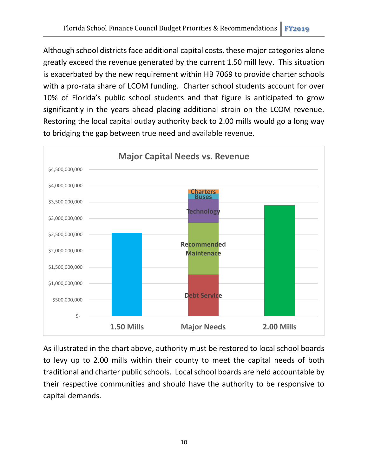Although school districts face additional capital costs, these major categories alone greatly exceed the revenue generated by the current 1.50 mill levy. This situation is exacerbated by the new requirement within HB 7069 to provide charter schools with a pro-rata share of LCOM funding. Charter school students account for over 10% of Florida's public school students and that figure is anticipated to grow significantly in the years ahead placing additional strain on the LCOM revenue. Restoring the local capital outlay authority back to 2.00 mills would go a long way to bridging the gap between true need and available revenue.



As illustrated in the chart above, authority must be restored to local school boards to levy up to 2.00 mills within their county to meet the capital needs of both traditional and charter public schools. Local school boards are held accountable by their respective communities and should have the authority to be responsive to capital demands.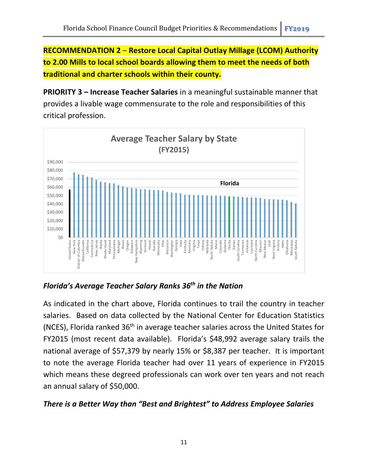**RECOMMENDATION 2** – **Restore Local Capital Outlay Millage (LCOM) Authority to 2.00 Mills to local school boards allowing them to meet the needs of both traditional and charter schools within their county.**

**PRIORITY 3 – Increase Teacher Salaries** in a meaningful sustainable manner that provides a livable wage commensurate to the role and responsibilities of this critical profession.



*Florida's Average Teacher Salary Ranks 36th in the Nation*

As indicated in the chart above, Florida continues to trail the country in teacher salaries. Based on data collected by the National Center for Education Statistics (NCES), Florida ranked 36th in average teacher salaries across the United States for FY2015 (most recent data available). Florida's \$48,992 average salary trails the national average of \$57,379 by nearly 15% or \$8,387 per teacher. It is important to note the average Florida teacher had over 11 years of experience in FY2015 which means these degreed professionals can work over ten years and not reach an annual salary of \$50,000.

#### *There is a Better Way than "Best and Brightest" to Address Employee Salaries*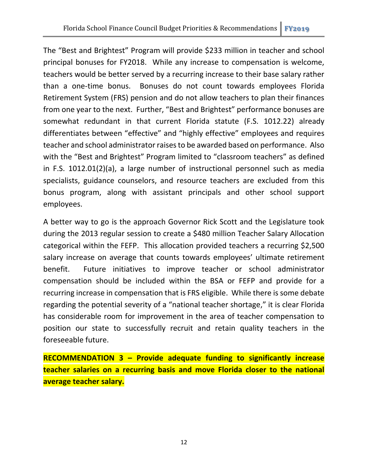The "Best and Brightest" Program will provide \$233 million in teacher and school principal bonuses for FY2018. While any increase to compensation is welcome, teachers would be better served by a recurring increase to their base salary rather than a one-time bonus. Bonuses do not count towards employees Florida Retirement System (FRS) pension and do not allow teachers to plan their finances from one year to the next. Further, "Best and Brightest" performance bonuses are somewhat redundant in that current Florida statute (F.S. 1012.22) already differentiates between "effective" and "highly effective" employees and requires teacher and school administrator raises to be awarded based on performance. Also with the "Best and Brightest" Program limited to "classroom teachers" as defined in F.S. 1012.01(2)(a), a large number of instructional personnel such as media specialists, guidance counselors, and resource teachers are excluded from this bonus program, along with assistant principals and other school support employees.

A better way to go is the approach Governor Rick Scott and the Legislature took during the 2013 regular session to create a \$480 million Teacher Salary Allocation categorical within the FEFP. This allocation provided teachers a recurring \$2,500 salary increase on average that counts towards employees' ultimate retirement benefit. Future initiatives to improve teacher or school administrator compensation should be included within the BSA or FEFP and provide for a recurring increase in compensation that is FRS eligible. While there is some debate regarding the potential severity of a "national teacher shortage," it is clear Florida has considerable room for improvement in the area of teacher compensation to position our state to successfully recruit and retain quality teachers in the foreseeable future.

**RECOMMENDATION 3 – Provide adequate funding to significantly increase teacher salaries on a recurring basis and move Florida closer to the national average teacher salary.**